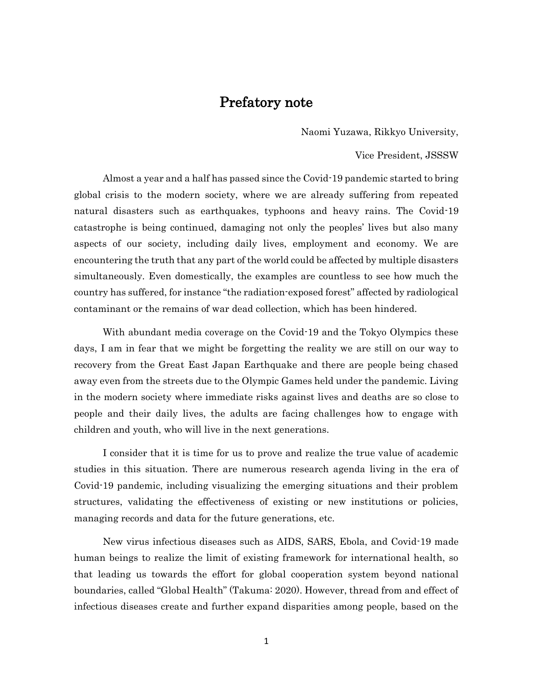# Prefatory note

Naomi Yuzawa, Rikkyo University,

Vice President, JSSSW

Almost a year and a half has passed since the Covid-19 pandemic started to bring global crisis to the modern society, where we are already suffering from repeated natural disasters such as earthquakes, typhoons and heavy rains. The Covid-19 catastrophe is being continued, damaging not only the peoples' lives but also many aspects of our society, including daily lives, employment and economy. We are encountering the truth that any part of the world could be affected by multiple disasters simultaneously. Even domestically, the examples are countless to see how much the country has suffered, for instance "the radiation-exposed forest" affected by radiological contaminant or the remains of war dead collection, which has been hindered.

With abundant media coverage on the Covid-19 and the Tokyo Olympics these days, I am in fear that we might be forgetting the reality we are still on our way to recovery from the Great East Japan Earthquake and there are people being chased away even from the streets due to the Olympic Games held under the pandemic. Living in the modern society where immediate risks against lives and deaths are so close to people and their daily lives, the adults are facing challenges how to engage with children and youth, who will live in the next generations.

I consider that it is time for us to prove and realize the true value of academic studies in this situation. There are numerous research agenda living in the era of Covid-19 pandemic, including visualizing the emerging situations and their problem structures, validating the effectiveness of existing or new institutions or policies, managing records and data for the future generations, etc.

New virus infectious diseases such as AIDS, SARS, Ebola, and Covid-19 made human beings to realize the limit of existing framework for international health, so that leading us towards the effort for global cooperation system beyond national boundaries, called "Global Health" (Takuma: 2020). However, thread from and effect of infectious diseases create and further expand disparities among people, based on the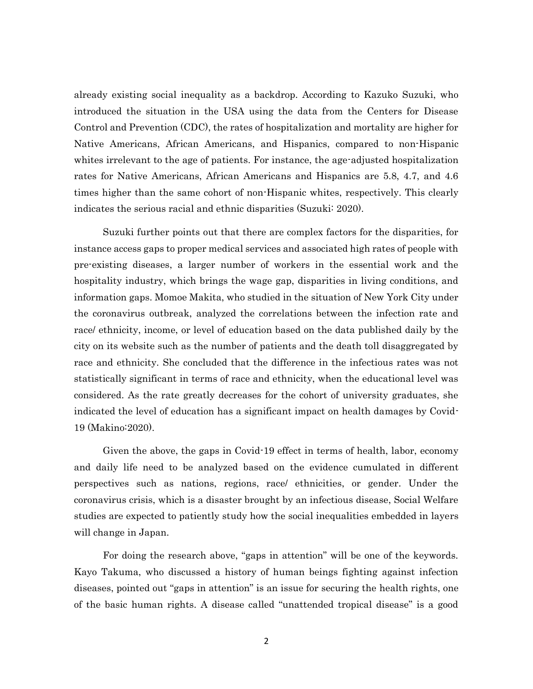already existing social inequality as a backdrop. According to Kazuko Suzuki, who introduced the situation in the USA using the data from the Centers for Disease Control and Prevention (CDC), the rates of hospitalization and mortality are higher for Native Americans, African Americans, and Hispanics, compared to non-Hispanic whites irrelevant to the age of patients. For instance, the age-adjusted hospitalization rates for Native Americans, African Americans and Hispanics are 5.8, 4.7, and 4.6 times higher than the same cohort of non-Hispanic whites, respectively. This clearly indicates the serious racial and ethnic disparities (Suzuki: 2020).

Suzuki further points out that there are complex factors for the disparities, for instance access gaps to proper medical services and associated high rates of people with pre-existing diseases, a larger number of workers in the essential work and the hospitality industry, which brings the wage gap, disparities in living conditions, and information gaps. Momoe Makita, who studied in the situation of New York City under the coronavirus outbreak, analyzed the correlations between the infection rate and race/ ethnicity, income, or level of education based on the data published daily by the city on its website such as the number of patients and the death toll disaggregated by race and ethnicity. She concluded that the difference in the infectious rates was not statistically significant in terms of race and ethnicity, when the educational level was considered. As the rate greatly decreases for the cohort of university graduates, she indicated the level of education has a significant impact on health damages by Covid-19 (Makino:2020).

Given the above, the gaps in Covid-19 effect in terms of health, labor, economy and daily life need to be analyzed based on the evidence cumulated in different perspectives such as nations, regions, race/ ethnicities, or gender. Under the coronavirus crisis, which is a disaster brought by an infectious disease, Social Welfare studies are expected to patiently study how the social inequalities embedded in layers will change in Japan.

For doing the research above, "gaps in attention" will be one of the keywords. Kayo Takuma, who discussed a history of human beings fighting against infection diseases, pointed out "gaps in attention" is an issue for securing the health rights, one of the basic human rights. A disease called "unattended tropical disease" is a good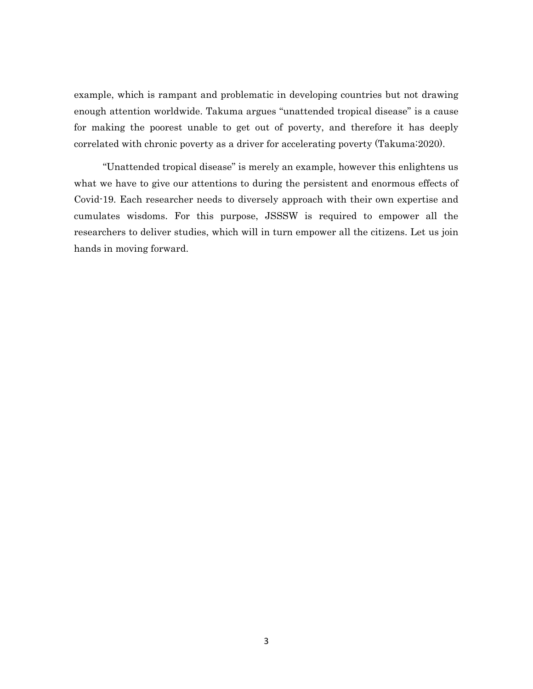example, which is rampant and problematic in developing countries but not drawing enough attention worldwide. Takuma argues "unattended tropical disease" is a cause for making the poorest unable to get out of poverty, and therefore it has deeply correlated with chronic poverty as a driver for accelerating poverty (Takuma:2020).

"Unattended tropical disease" is merely an example, however this enlightens us what we have to give our attentions to during the persistent and enormous effects of Covid-19. Each researcher needs to diversely approach with their own expertise and cumulates wisdoms. For this purpose, JSSSW is required to empower all the researchers to deliver studies, which will in turn empower all the citizens. Let us join hands in moving forward.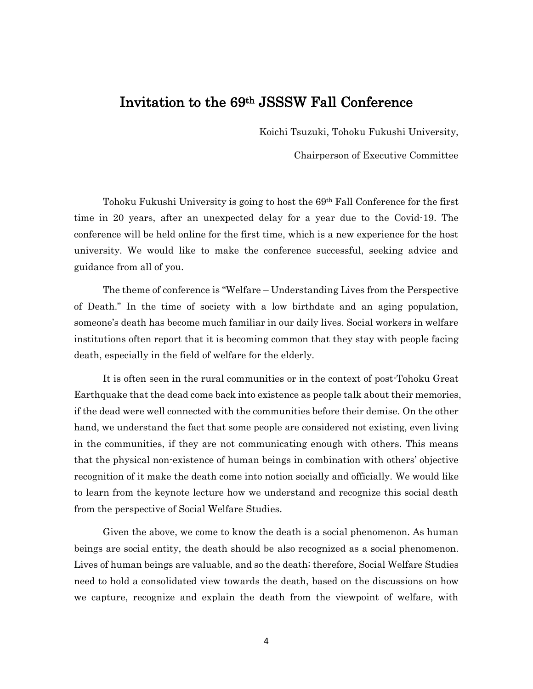# Invitation to the 69th JSSSW Fall Conference

Koichi Tsuzuki, Tohoku Fukushi University,

Chairperson of Executive Committee

Tohoku Fukushi University is going to host the 69th Fall Conference for the first time in 20 years, after an unexpected delay for a year due to the Covid-19. The conference will be held online for the first time, which is a new experience for the host university. We would like to make the conference successful, seeking advice and guidance from all of you.

The theme of conference is "Welfare – Understanding Lives from the Perspective of Death." In the time of society with a low birthdate and an aging population, someone's death has become much familiar in our daily lives. Social workers in welfare institutions often report that it is becoming common that they stay with people facing death, especially in the field of welfare for the elderly.

It is often seen in the rural communities or in the context of post-Tohoku Great Earthquake that the dead come back into existence as people talk about their memories, if the dead were well connected with the communities before their demise. On the other hand, we understand the fact that some people are considered not existing, even living in the communities, if they are not communicating enough with others. This means that the physical non-existence of human beings in combination with others' objective recognition of it make the death come into notion socially and officially. We would like to learn from the keynote lecture how we understand and recognize this social death from the perspective of Social Welfare Studies.

Given the above, we come to know the death is a social phenomenon. As human beings are social entity, the death should be also recognized as a social phenomenon. Lives of human beings are valuable, and so the death; therefore, Social Welfare Studies need to hold a consolidated view towards the death, based on the discussions on how we capture, recognize and explain the death from the viewpoint of welfare, with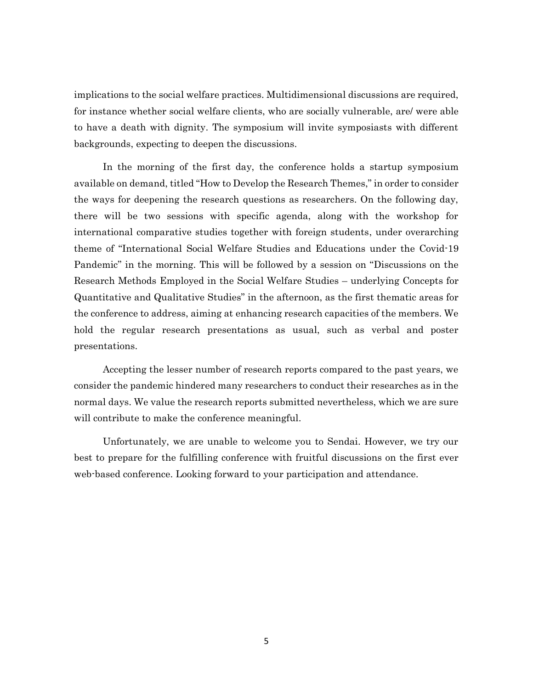implications to the social welfare practices. Multidimensional discussions are required, for instance whether social welfare clients, who are socially vulnerable, are/ were able to have a death with dignity. The symposium will invite symposiasts with different backgrounds, expecting to deepen the discussions.

In the morning of the first day, the conference holds a startup symposium available on demand, titled "How to Develop the Research Themes," in order to consider the ways for deepening the research questions as researchers. On the following day, there will be two sessions with specific agenda, along with the workshop for international comparative studies together with foreign students, under overarching theme of "International Social Welfare Studies and Educations under the Covid-19 Pandemic" in the morning. This will be followed by a session on "Discussions on the Research Methods Employed in the Social Welfare Studies – underlying Concepts for Quantitative and Qualitative Studies" in the afternoon, as the first thematic areas for the conference to address, aiming at enhancing research capacities of the members. We hold the regular research presentations as usual, such as verbal and poster presentations.

Accepting the lesser number of research reports compared to the past years, we consider the pandemic hindered many researchers to conduct their researches as in the normal days. We value the research reports submitted nevertheless, which we are sure will contribute to make the conference meaningful.

Unfortunately, we are unable to welcome you to Sendai. However, we try our best to prepare for the fulfilling conference with fruitful discussions on the first ever web-based conference. Looking forward to your participation and attendance.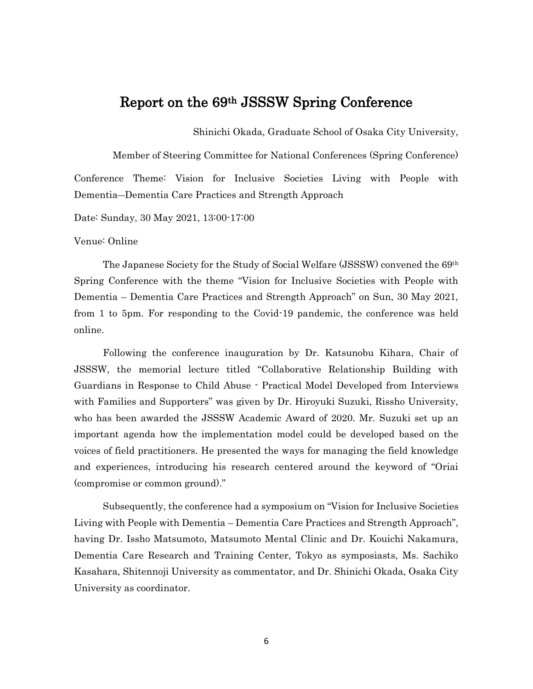# Report on the 69th JSSSW Spring Conference

Shinichi Okada, Graduate School of Osaka City University,

Member of Steering Committee for National Conferences (Spring Conference) Conference Theme: Vision for Inclusive Societies Living with People with Dementia―Dementia Care Practices and Strength Approach

Date: Sunday, 30 May 2021, 13:00-17:00

#### Venue: Online

The Japanese Society for the Study of Social Welfare (JSSSW) convened the 69th Spring Conference with the theme "Vision for Inclusive Societies with People with Dementia – Dementia Care Practices and Strength Approach" on Sun, 30 May 2021, from 1 to 5pm. For responding to the Covid-19 pandemic, the conference was held online.

Following the conference inauguration by Dr. Katsunobu Kihara, Chair of JSSSW, the memorial lecture titled "Collaborative Relationship Building with Guardians in Response to Child Abuse - Practical Model Developed from Interviews with Families and Supporters" was given by Dr. Hiroyuki Suzuki, Rissho University, who has been awarded the JSSSW Academic Award of 2020. Mr. Suzuki set up an important agenda how the implementation model could be developed based on the voices of field practitioners. He presented the ways for managing the field knowledge and experiences, introducing his research centered around the keyword of "Oriai (compromise or common ground)."

Subsequently, the conference had a symposium on "Vision for Inclusive Societies Living with People with Dementia – Dementia Care Practices and Strength Approach", having Dr. Issho Matsumoto, Matsumoto Mental Clinic and Dr. Kouichi Nakamura, Dementia Care Research and Training Center, Tokyo as symposiasts, Ms. Sachiko Kasahara, Shitennoji University as commentator, and Dr. Shinichi Okada, Osaka City University as coordinator.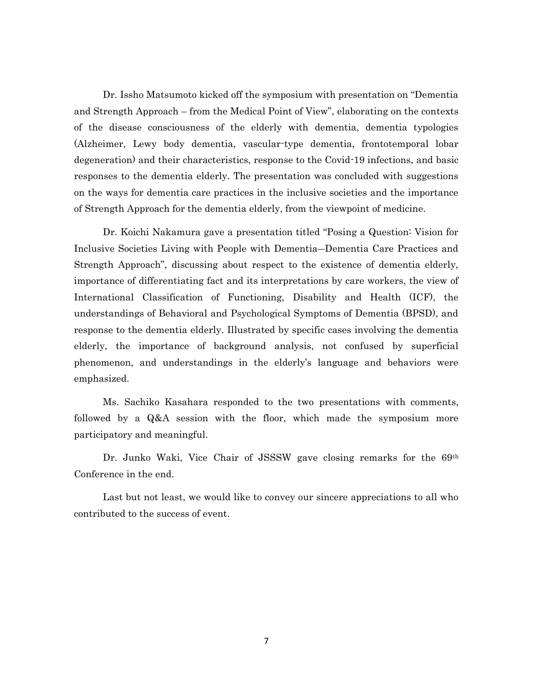Dr. Issho Matsumoto kicked off the symposium with presentation on "Dementia and Strength Approach – from the Medical Point of View", elaborating on the contexts of the disease consciousness of the elderly with dementia, dementia typologies (Alzheimer, Lewy body dementia, vascular-type dementia, frontotemporal lobar degeneration) and their characteristics, response to the Covid-19 infections, and basic responses to the dementia elderly. The presentation was concluded with suggestions on the ways for dementia care practices in the inclusive societies and the importance of Strength Approach for the dementia elderly, from the viewpoint of medicine.

Dr. Koichi Nakamura gave a presentation titled "Posing a Question: Vision for Inclusive Societies Living with People with Dementia―Dementia Care Practices and Strength Approach", discussing about respect to the existence of dementia elderly, importance of differentiating fact and its interpretations by care workers, the view of International Classification of Functioning, Disability and Health (ICF), the understandings of Behavioral and Psychological Symptoms of Dementia (BPSD), and response to the dementia elderly. Illustrated by specific cases involving the dementia elderly, the importance of background analysis, not confused by superficial phenomenon, and understandings in the elderly's language and behaviors were emphasized.

Ms. Sachiko Kasahara responded to the two presentations with comments, followed by a Q&A session with the floor, which made the symposium more participatory and meaningful.

Dr. Junko Waki, Vice Chair of JSSSW gave closing remarks for the 69<sup>th</sup> Conference in the end.

Last but not least, we would like to convey our sincere appreciations to all who contributed to the success of event.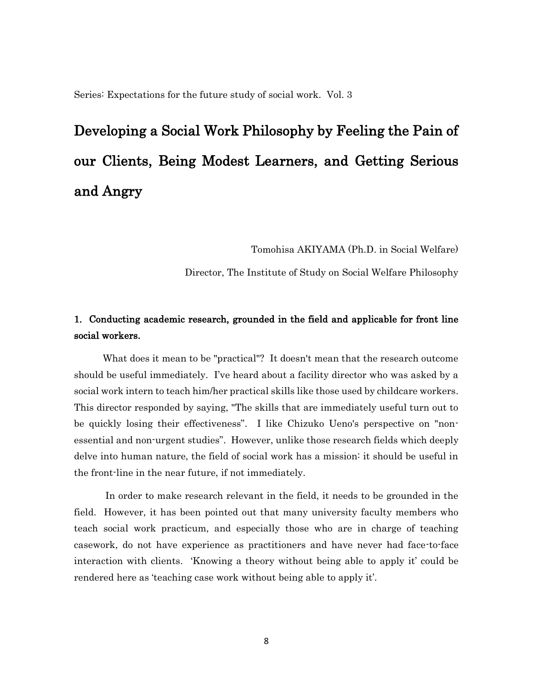Series: Expectations for the future study of social work. Vol. 3

# Developing a Social Work Philosophy by Feeling the Pain of our Clients, Being Modest Learners, and Getting Serious and Angry

Tomohisa AKIYAMA (Ph.D. in Social Welfare)

Director, The Institute of Study on Social Welfare Philosophy

## 1. Conducting academic research, grounded in the field and applicable for front line social workers.

What does it mean to be "practical"? It doesn't mean that the research outcome should be useful immediately. I've heard about a facility director who was asked by a social work intern to teach him/her practical skills like those used by childcare workers. This director responded by saying, "The skills that are immediately useful turn out to be quickly losing their effectiveness". I like Chizuko Ueno's perspective on "nonessential and non-urgent studies". However, unlike those research fields which deeply delve into human nature, the field of social work has a mission: it should be useful in the front-line in the near future, if not immediately.

In order to make research relevant in the field, it needs to be grounded in the field. However, it has been pointed out that many university faculty members who teach social work practicum, and especially those who are in charge of teaching casework, do not have experience as practitioners and have never had face-to-face interaction with clients. 'Knowing a theory without being able to apply it' could be rendered here as 'teaching case work without being able to apply it'.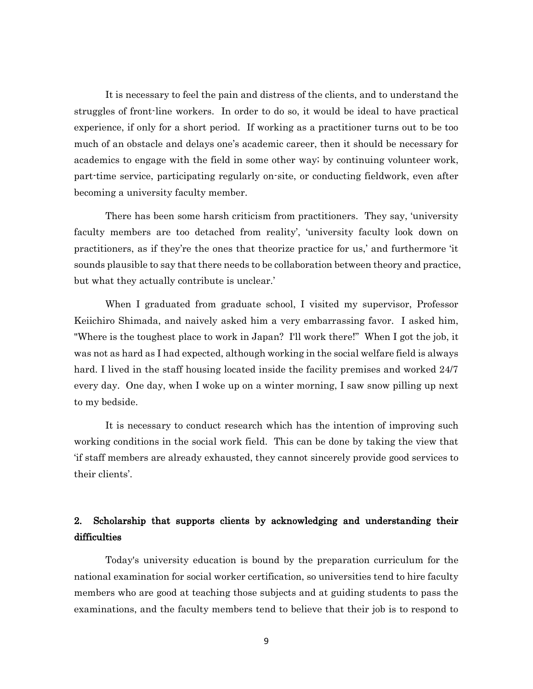It is necessary to feel the pain and distress of the clients, and to understand the struggles of front-line workers. In order to do so, it would be ideal to have practical experience, if only for a short period. If working as a practitioner turns out to be too much of an obstacle and delays one's academic career, then it should be necessary for academics to engage with the field in some other way; by continuing volunteer work, part-time service, participating regularly on-site, or conducting fieldwork, even after becoming a university faculty member.

There has been some harsh criticism from practitioners. They say, 'university faculty members are too detached from reality', 'university faculty look down on practitioners, as if they're the ones that theorize practice for us,' and furthermore 'it sounds plausible to say that there needs to be collaboration between theory and practice, but what they actually contribute is unclear.'

When I graduated from graduate school, I visited my supervisor, Professor Keiichiro Shimada, and naively asked him a very embarrassing favor. I asked him, "Where is the toughest place to work in Japan? I'll work there!" When I got the job, it was not as hard as I had expected, although working in the social welfare field is always hard. I lived in the staff housing located inside the facility premises and worked 24/7 every day. One day, when I woke up on a winter morning, I saw snow pilling up next to my bedside.

It is necessary to conduct research which has the intention of improving such working conditions in the social work field. This can be done by taking the view that 'if staff members are already exhausted, they cannot sincerely provide good services to their clients'.

## 2. Scholarship that supports clients by acknowledging and understanding their difficulties

Today's university education is bound by the preparation curriculum for the national examination for social worker certification, so universities tend to hire faculty members who are good at teaching those subjects and at guiding students to pass the examinations, and the faculty members tend to believe that their job is to respond to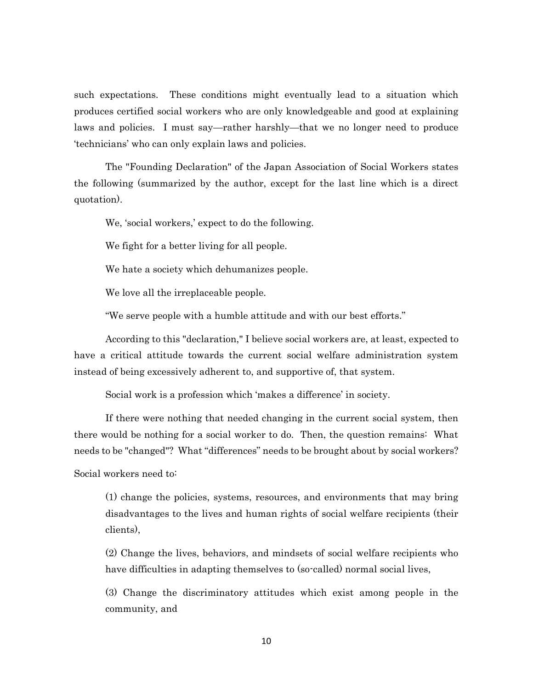such expectations. These conditions might eventually lead to a situation which produces certified social workers who are only knowledgeable and good at explaining laws and policies. I must say—rather harshly—that we no longer need to produce 'technicians' who can only explain laws and policies.

The "Founding Declaration" of the Japan Association of Social Workers states the following (summarized by the author, except for the last line which is a direct quotation).

We, 'social workers,' expect to do the following.

We fight for a better living for all people.

We hate a society which dehumanizes people.

We love all the irreplaceable people.

"We serve people with a humble attitude and with our best efforts."

According to this "declaration," I believe social workers are, at least, expected to have a critical attitude towards the current social welfare administration system instead of being excessively adherent to, and supportive of, that system.

Social work is a profession which 'makes a difference' in society.

If there were nothing that needed changing in the current social system, then there would be nothing for a social worker to do. Then, the question remains: What needs to be "changed"? What "differences" needs to be brought about by social workers?

Social workers need to:

(1) change the policies, systems, resources, and environments that may bring disadvantages to the lives and human rights of social welfare recipients (their clients),

(2) Change the lives, behaviors, and mindsets of social welfare recipients who have difficulties in adapting themselves to (so-called) normal social lives,

(3) Change the discriminatory attitudes which exist among people in the community, and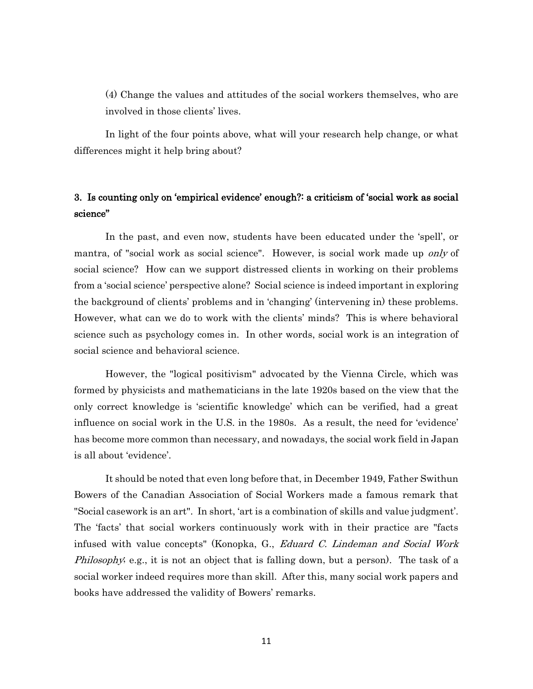(4) Change the values and attitudes of the social workers themselves, who are involved in those clients' lives.

In light of the four points above, what will your research help change, or what differences might it help bring about?

## 3. Is counting only on 'empirical evidence' enough?: a criticism of 'social work as social science"

In the past, and even now, students have been educated under the 'spell', or mantra, of "social work as social science". However, is social work made up *only* of social science? How can we support distressed clients in working on their problems from a 'social science' perspective alone? Social science is indeed important in exploring the background of clients' problems and in 'changing' (intervening in) these problems. However, what can we do to work with the clients' minds? This is where behavioral science such as psychology comes in. In other words, social work is an integration of social science and behavioral science.

However, the "logical positivism" advocated by the Vienna Circle, which was formed by physicists and mathematicians in the late 1920s based on the view that the only correct knowledge is 'scientific knowledge' which can be verified, had a great influence on social work in the U.S. in the 1980s. As a result, the need for 'evidence' has become more common than necessary, and nowadays, the social work field in Japan is all about 'evidence'.

It should be noted that even long before that, in December 1949, Father Swithun Bowers of the Canadian Association of Social Workers made a famous remark that "Social casework is an art". In short, 'art is a combination of skills and value judgment'. The 'facts' that social workers continuously work with in their practice are "facts infused with value concepts" (Konopka, G., Eduard C. Lindeman and Social Work *Philosophy*; e.g., it is not an object that is falling down, but a person). The task of a social worker indeed requires more than skill. After this, many social work papers and books have addressed the validity of Bowers' remarks.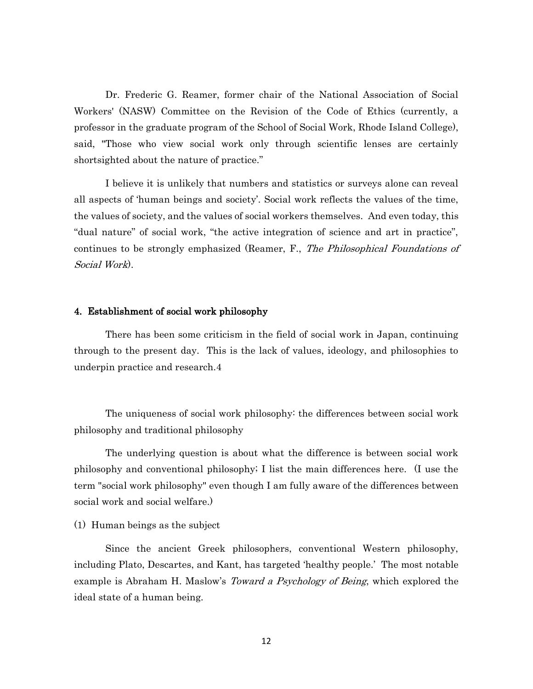Dr. Frederic G. Reamer, former chair of the National Association of Social Workers' (NASW) Committee on the Revision of the Code of Ethics (currently, a professor in the graduate program of the School of Social Work, Rhode Island College), said, "Those who view social work only through scientific lenses are certainly shortsighted about the nature of practice."

I believe it is unlikely that numbers and statistics or surveys alone can reveal all aspects of 'human beings and society'. Social work reflects the values of the time, the values of society, and the values of social workers themselves. And even today, this "dual nature" of social work, "the active integration of science and art in practice", continues to be strongly emphasized (Reamer, F., The Philosophical Foundations of Social Work).

#### 4. Establishment of social work philosophy

There has been some criticism in the field of social work in Japan, continuing through to the present day. This is the lack of values, ideology, and philosophies to underpin practice and research.4

The uniqueness of social work philosophy: the differences between social work philosophy and traditional philosophy

The underlying question is about what the difference is between social work philosophy and conventional philosophy; I list the main differences here. (I use the term "social work philosophy" even though I am fully aware of the differences between social work and social welfare.)

(1) Human beings as the subject

Since the ancient Greek philosophers, conventional Western philosophy, including Plato, Descartes, and Kant, has targeted 'healthy people.' The most notable example is Abraham H. Maslow's *Toward a Psychology of Being*, which explored the ideal state of a human being.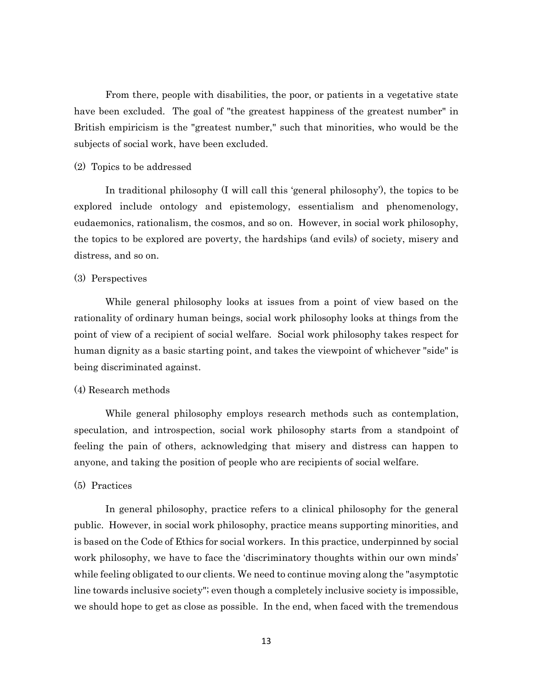From there, people with disabilities, the poor, or patients in a vegetative state have been excluded. The goal of "the greatest happiness of the greatest number" in British empiricism is the "greatest number," such that minorities, who would be the subjects of social work, have been excluded.

#### (2) Topics to be addressed

In traditional philosophy (I will call this 'general philosophy'), the topics to be explored include ontology and epistemology, essentialism and phenomenology, eudaemonics, rationalism, the cosmos, and so on. However, in social work philosophy, the topics to be explored are poverty, the hardships (and evils) of society, misery and distress, and so on.

#### (3) Perspectives

While general philosophy looks at issues from a point of view based on the rationality of ordinary human beings, social work philosophy looks at things from the point of view of a recipient of social welfare. Social work philosophy takes respect for human dignity as a basic starting point, and takes the viewpoint of whichever "side" is being discriminated against.

#### (4) Research methods

While general philosophy employs research methods such as contemplation, speculation, and introspection, social work philosophy starts from a standpoint of feeling the pain of others, acknowledging that misery and distress can happen to anyone, and taking the position of people who are recipients of social welfare.

#### (5) Practices

In general philosophy, practice refers to a clinical philosophy for the general public. However, in social work philosophy, practice means supporting minorities, and is based on the Code of Ethics for social workers. In this practice, underpinned by social work philosophy, we have to face the 'discriminatory thoughts within our own minds' while feeling obligated to our clients. We need to continue moving along the "asymptotic line towards inclusive society"; even though a completely inclusive society is impossible, we should hope to get as close as possible. In the end, when faced with the tremendous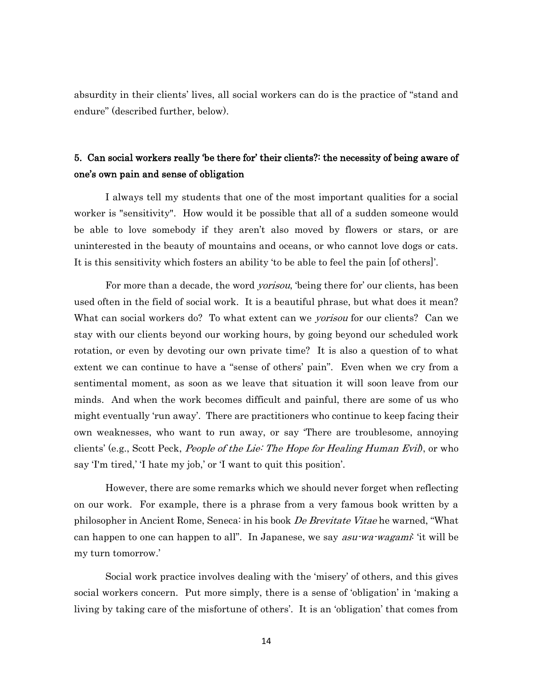absurdity in their clients' lives, all social workers can do is the practice of "stand and endure" (described further, below).

# 5. Can social workers really 'be there for' their clients?: the necessity of being aware of one's own pain and sense of obligation

I always tell my students that one of the most important qualities for a social worker is "sensitivity". How would it be possible that all of a sudden someone would be able to love somebody if they aren't also moved by flowers or stars, or are uninterested in the beauty of mountains and oceans, or who cannot love dogs or cats. It is this sensitivity which fosters an ability 'to be able to feel the pain [of others]'.

For more than a decade, the word *yorisou*, 'being there for' our clients, has been used often in the field of social work. It is a beautiful phrase, but what does it mean? What can social workers do? To what extent can we *yorisou* for our clients? Can we stay with our clients beyond our working hours, by going beyond our scheduled work rotation, or even by devoting our own private time? It is also a question of to what extent we can continue to have a "sense of others' pain". Even when we cry from a sentimental moment, as soon as we leave that situation it will soon leave from our minds. And when the work becomes difficult and painful, there are some of us who might eventually 'run away'. There are practitioners who continue to keep facing their own weaknesses, who want to run away, or say 'There are troublesome, annoying clients' (e.g., Scott Peck, *People of the Lie: The Hope for Healing Human Evil*), or who say 'I'm tired,' 'I hate my job,' or 'I want to quit this position'.

However, there are some remarks which we should never forget when reflecting on our work. For example, there is a phrase from a very famous book written by a philosopher in Ancient Rome, Seneca: in his book De Brevitate Vitae he warned, "What can happen to one can happen to all". In Japanese, we say *asu-wa-wagami*: 'it will be my turn tomorrow.'

Social work practice involves dealing with the 'misery' of others, and this gives social workers concern. Put more simply, there is a sense of 'obligation' in 'making a living by taking care of the misfortune of others'. It is an 'obligation' that comes from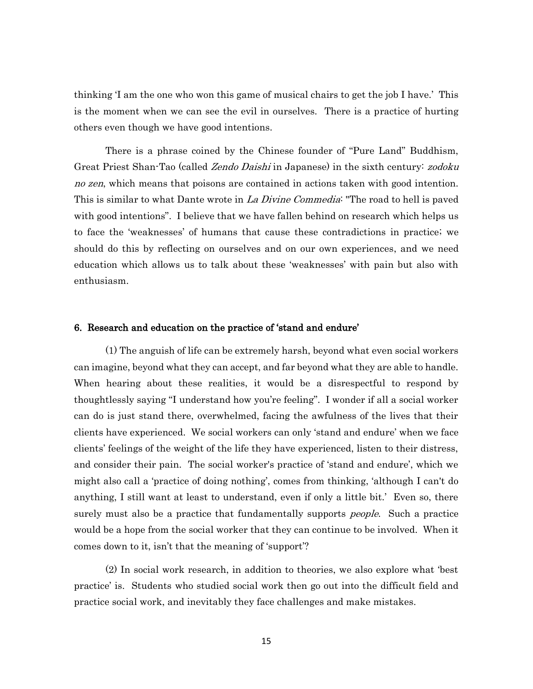thinking 'I am the one who won this game of musical chairs to get the job I have.' This is the moment when we can see the evil in ourselves. There is a practice of hurting others even though we have good intentions.

There is a phrase coined by the Chinese founder of "Pure Land" Buddhism, Great Priest Shan-Tao (called Zendo Daishi in Japanese) in the sixth century: zodoku no zen, which means that poisons are contained in actions taken with good intention. This is similar to what Dante wrote in La Divine Commedia: "The road to hell is paved with good intentions". I believe that we have fallen behind on research which helps us to face the 'weaknesses' of humans that cause these contradictions in practice; we should do this by reflecting on ourselves and on our own experiences, and we need education which allows us to talk about these 'weaknesses' with pain but also with enthusiasm.

#### 6. Research and education on the practice of 'stand and endure'

(1) The anguish of life can be extremely harsh, beyond what even social workers can imagine, beyond what they can accept, and far beyond what they are able to handle. When hearing about these realities, it would be a disrespectful to respond by thoughtlessly saying "I understand how you're feeling". I wonder if all a social worker can do is just stand there, overwhelmed, facing the awfulness of the lives that their clients have experienced. We social workers can only 'stand and endure' when we face clients' feelings of the weight of the life they have experienced, listen to their distress, and consider their pain. The social worker's practice of 'stand and endure', which we might also call a 'practice of doing nothing', comes from thinking, 'although I can't do anything, I still want at least to understand, even if only a little bit.' Even so, there surely must also be a practice that fundamentally supports *people*. Such a practice would be a hope from the social worker that they can continue to be involved. When it comes down to it, isn't that the meaning of 'support'?

(2) In social work research, in addition to theories, we also explore what 'best practice' is. Students who studied social work then go out into the difficult field and practice social work, and inevitably they face challenges and make mistakes.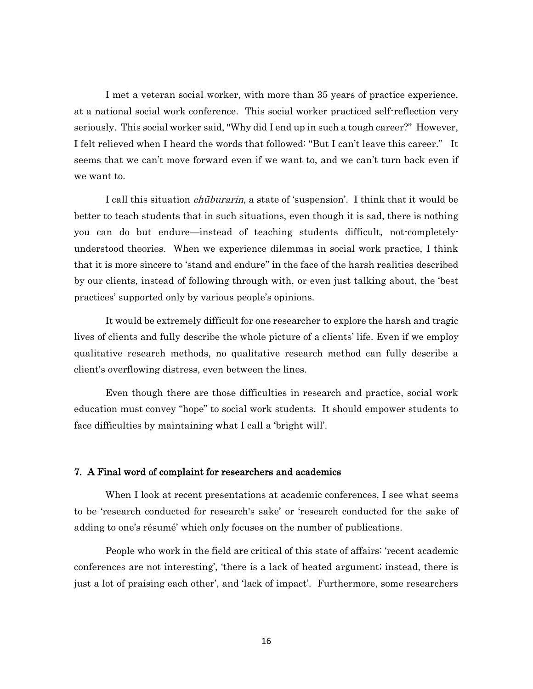I met a veteran social worker, with more than 35 years of practice experience, at a national social work conference. This social worker practiced self-reflection very seriously. This social worker said, "Why did I end up in such a tough career?" However, I felt relieved when I heard the words that followed: "But I can't leave this career." It seems that we can't move forward even if we want to, and we can't turn back even if we want to.

I call this situation chūburarin, a state of 'suspension'. I think that it would be better to teach students that in such situations, even though it is sad, there is nothing you can do but endure—instead of teaching students difficult, not-completelyunderstood theories. When we experience dilemmas in social work practice, I think that it is more sincere to 'stand and endure'' in the face of the harsh realities described by our clients, instead of following through with, or even just talking about, the 'best practices' supported only by various people's opinions.

It would be extremely difficult for one researcher to explore the harsh and tragic lives of clients and fully describe the whole picture of a clients' life. Even if we employ qualitative research methods, no qualitative research method can fully describe a client's overflowing distress, even between the lines.

Even though there are those difficulties in research and practice, social work education must convey "hope" to social work students. It should empower students to face difficulties by maintaining what I call a 'bright will'.

#### 7. A Final word of complaint for researchers and academics

When I look at recent presentations at academic conferences, I see what seems to be 'research conducted for research's sake' or 'research conducted for the sake of adding to one's résumé' which only focuses on the number of publications.

People who work in the field are critical of this state of affairs: 'recent academic conferences are not interesting', 'there is a lack of heated argument; instead, there is just a lot of praising each other', and 'lack of impact'. Furthermore, some researchers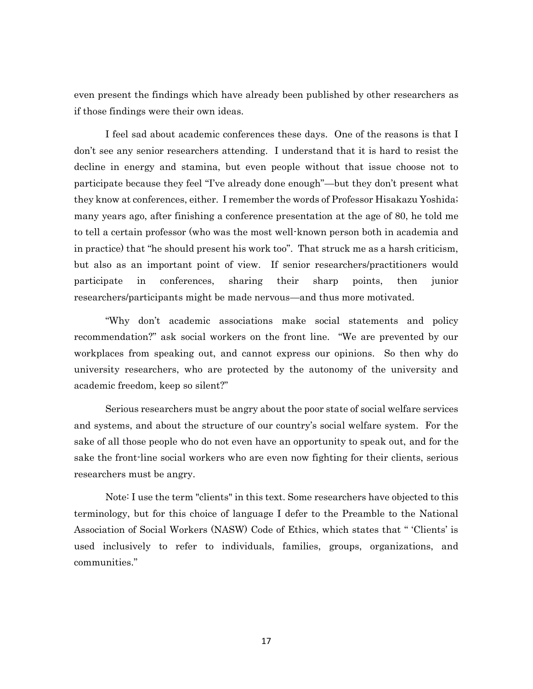even present the findings which have already been published by other researchers as if those findings were their own ideas.

I feel sad about academic conferences these days. One of the reasons is that I don't see any senior researchers attending. I understand that it is hard to resist the decline in energy and stamina, but even people without that issue choose not to participate because they feel "I've already done enough"—but they don't present what they know at conferences, either. I remember the words of Professor Hisakazu Yoshida; many years ago, after finishing a conference presentation at the age of 80, he told me to tell a certain professor (who was the most well-known person both in academia and in practice) that "he should present his work too". That struck me as a harsh criticism, but also as an important point of view. If senior researchers/practitioners would participate in conferences, sharing their sharp points, then junior researchers/participants might be made nervous—and thus more motivated.

"Why don't academic associations make social statements and policy recommendation?" ask social workers on the front line. "We are prevented by our workplaces from speaking out, and cannot express our opinions. So then why do university researchers, who are protected by the autonomy of the university and academic freedom, keep so silent?"

Serious researchers must be angry about the poor state of social welfare services and systems, and about the structure of our country's social welfare system. For the sake of all those people who do not even have an opportunity to speak out, and for the sake the front-line social workers who are even now fighting for their clients, serious researchers must be angry.

Note: I use the term "clients" in this text. Some researchers have objected to this terminology, but for this choice of language I defer to the Preamble to the National Association of Social Workers (NASW) Code of Ethics, which states that " 'Clients' is used inclusively to refer to individuals, families, groups, organizations, and communities."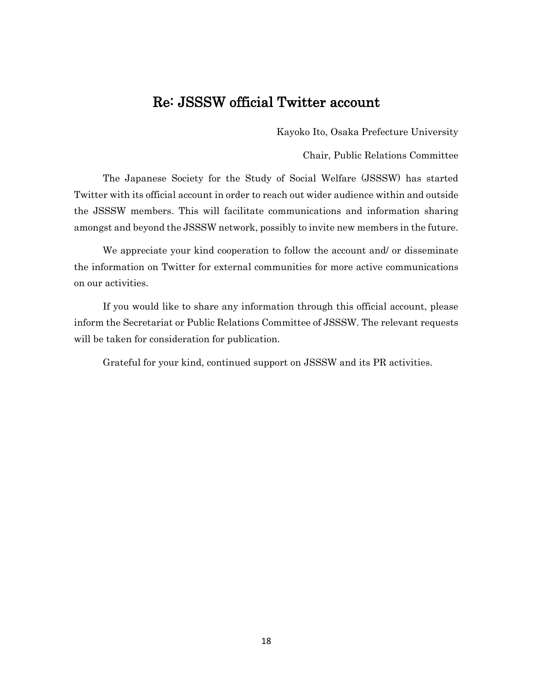# Re: JSSSW official Twitter account

Kayoko Ito, Osaka Prefecture University

Chair, Public Relations Committee

The Japanese Society for the Study of Social Welfare (JSSSW) has started Twitter with its official account in order to reach out wider audience within and outside the JSSSW members. This will facilitate communications and information sharing amongst and beyond the JSSSW network, possibly to invite new members in the future.

We appreciate your kind cooperation to follow the account and/ or disseminate the information on Twitter for external communities for more active communications on our activities.

If you would like to share any information through this official account, please inform the Secretariat or Public Relations Committee of JSSSW. The relevant requests will be taken for consideration for publication.

Grateful for your kind, continued support on JSSSW and its PR activities.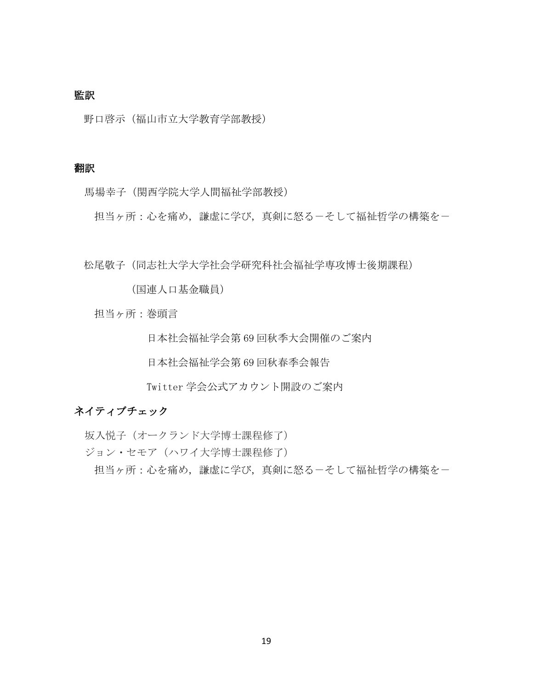## 監訳

野口啓示(福山市立大学教育学部教授)

### 翻訳

馬場幸子(関西学院大学人間福祉学部教授)

担当ヶ所:心を痛め、謙虚に学び、真剣に怒るーそして福祉哲学の構築をー

松尾敬子(同志社大学大学社会学研究科社会福祉学専攻博士後期課程)

(国連人口基金職員)

担当ヶ所:巻頭言

日本社会福祉学会第 69 回秋季大会開催のご案内

日本社会福祉学会第 69 回秋春季会報告

Twitter 学会公式アカウント開設のご案内

## ネイティブチェック

坂入悦子(オークランド大学博士課程修了) ジョン・セモア(ハワイ大学博士課程修了) 担当ヶ所:心を痛め、謙虚に学び、真剣に怒るーそして福祉哲学の構築をー